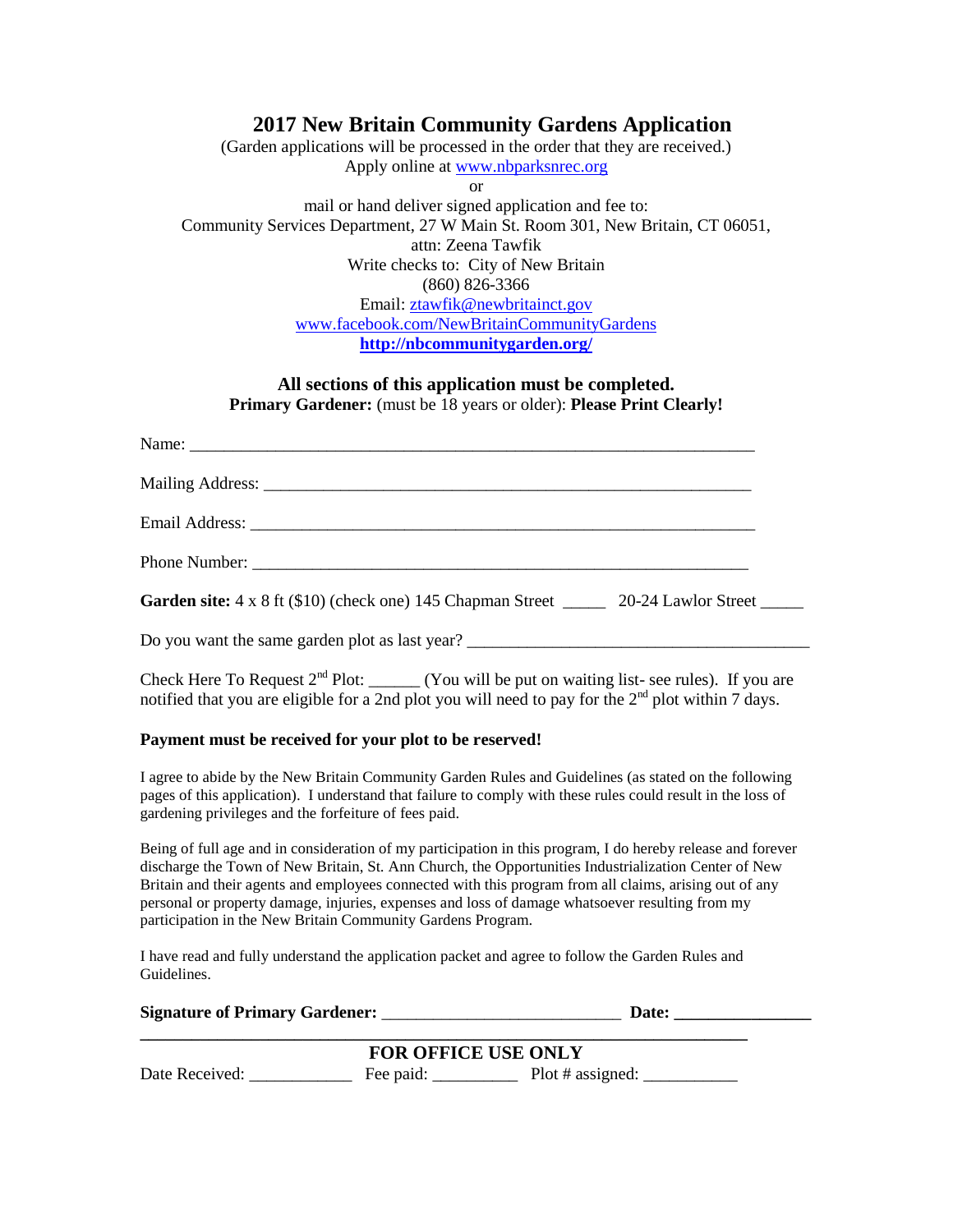## **2017 New Britain Community Gardens Application**

(Garden applications will be processed in the order that they are received.) Apply online a[t www.nbparksnrec.org](http://www.nbparksnrec.org/) or mail or hand deliver signed application and fee to: Community Services Department, 27 W Main St. Room 301, New Britain, CT 06051, attn: Zeena Tawfik Write checks to: City of New Britain (860) 826-3366 Email: [ztawfik@newbritainct.gov](mailto:ztawfik@newbritainct.gov) [www.facebook.com/NewBritainCommunityGardens](http://www.facebook.com/NewBritainCommunityGardens) **<http://nbcommunitygarden.org/>**

#### **All sections of this application must be completed. Primary Gardener:** (must be 18 years or older): **Please Print Clearly!**

| Garden site: 4 x 8 ft (\$10) (check one) 145 Chapman Street ________ 20-24 Lawlor Street ______ |  |
|-------------------------------------------------------------------------------------------------|--|
| Do you want the same garden plot as last year? _________________________________                |  |

Check Here To Request  $2<sup>nd</sup>$  Plot: \_\_\_\_\_\_ (You will be put on waiting list- see rules). If you are notified that you are eligible for a 2nd plot you will need to pay for the  $2<sup>nd</sup>$  plot within 7 days.

### **Payment must be received for your plot to be reserved!**

I agree to abide by the New Britain Community Garden Rules and Guidelines (as stated on the following pages of this application). I understand that failure to comply with these rules could result in the loss of gardening privileges and the forfeiture of fees paid.

Being of full age and in consideration of my participation in this program, I do hereby release and forever discharge the Town of New Britain, St. Ann Church, the Opportunities Industrialization Center of New Britain and their agents and employees connected with this program from all claims, arising out of any personal or property damage, injuries, expenses and loss of damage whatsoever resulting from my participation in the New Britain Community Gardens Program.

I have read and fully understand the application packet and agree to follow the Garden Rules and Guidelines.

| <b>Signature of Primary Gardener:</b> |  |
|---------------------------------------|--|
|                                       |  |

|                | <b>FOR OFFICE USE ONLY</b> |                  |
|----------------|----------------------------|------------------|
| Date Received: | Fee paid:                  | Plot # assigned: |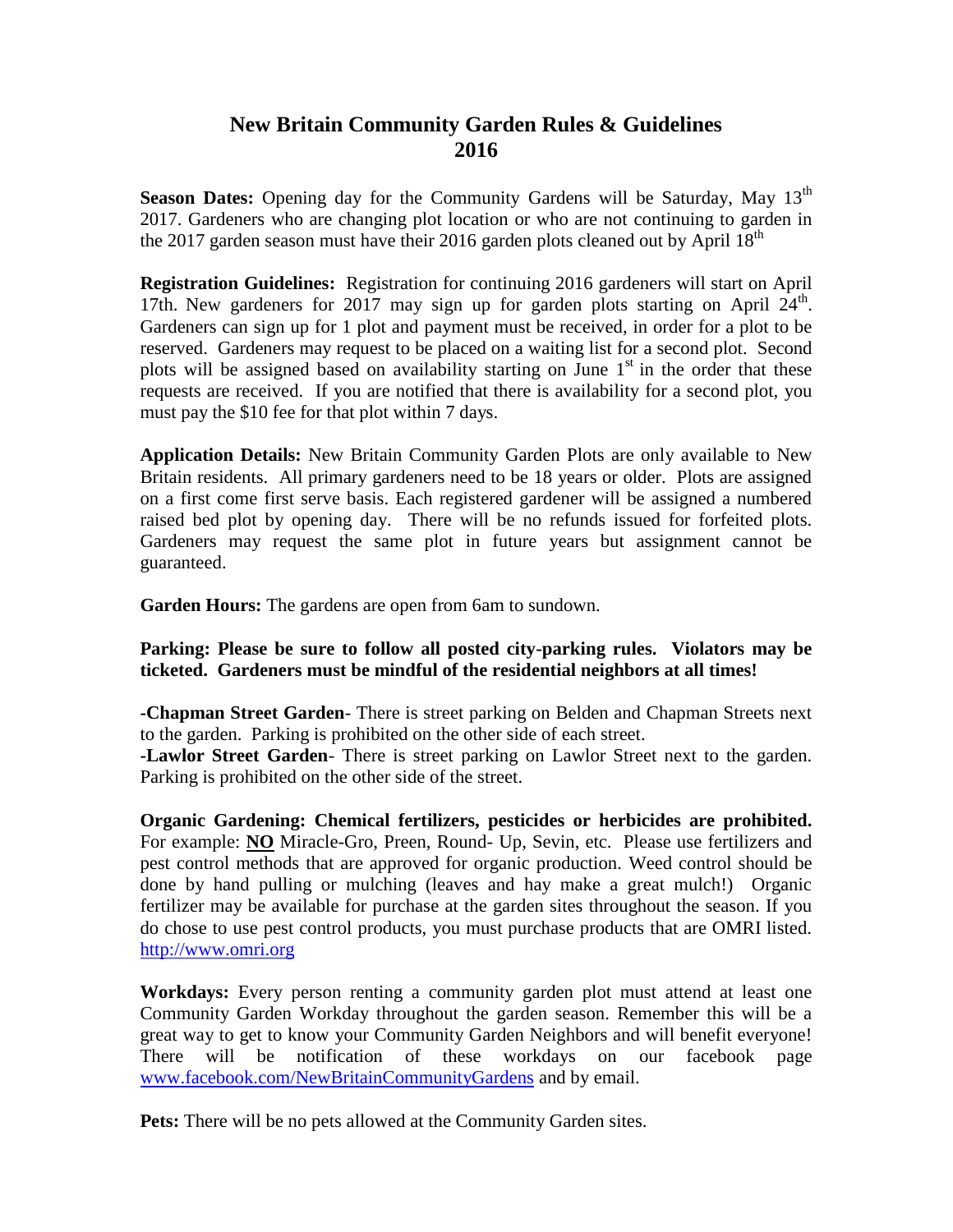# **New Britain Community Garden Rules & Guidelines 2016**

**Season Dates:** Opening day for the Community Gardens will be Saturday, May 13<sup>th</sup> 2017. Gardeners who are changing plot location or who are not continuing to garden in the 2017 garden season must have their 2016 garden plots cleaned out by April  $18<sup>th</sup>$ 

**Registration Guidelines:** Registration for continuing 2016 gardeners will start on April 17th. New gardeners for 2017 may sign up for garden plots starting on April  $24^{\text{th}}$ . Gardeners can sign up for 1 plot and payment must be received, in order for a plot to be reserved. Gardeners may request to be placed on a waiting list for a second plot. Second plots will be assigned based on availability starting on June  $1<sup>st</sup>$  in the order that these requests are received. If you are notified that there is availability for a second plot, you must pay the \$10 fee for that plot within 7 days.

**Application Details:** New Britain Community Garden Plots are only available to New Britain residents. All primary gardeners need to be 18 years or older. Plots are assigned on a first come first serve basis. Each registered gardener will be assigned a numbered raised bed plot by opening day. There will be no refunds issued for forfeited plots. Gardeners may request the same plot in future years but assignment cannot be guaranteed.

**Garden Hours:** The gardens are open from 6am to sundown.

## **Parking: Please be sure to follow all posted city-parking rules. Violators may be ticketed. Gardeners must be mindful of the residential neighbors at all times!**

**-Chapman Street Garden**- There is street parking on Belden and Chapman Streets next to the garden. Parking is prohibited on the other side of each street.

**-Lawlor Street Garden**- There is street parking on Lawlor Street next to the garden. Parking is prohibited on the other side of the street.

**Organic Gardening: Chemical fertilizers, pesticides or herbicides are prohibited.**  For example: **NO** Miracle-Gro, Preen, Round- Up, Sevin, etc. Please use fertilizers and pest control methods that are approved for organic production. Weed control should be done by hand pulling or mulching (leaves and hay make a great mulch!) Organic fertilizer may be available for purchase at the garden sites throughout the season. If you do chose to use pest control products, you must purchase products that are OMRI listed. [http://www.omri.org](http://www.omri.org/)

**Workdays:** Every person renting a community garden plot must attend at least one Community Garden Workday throughout the garden season. Remember this will be a great way to get to know your Community Garden Neighbors and will benefit everyone! There will be notification of these workdays on our facebook page [www.facebook.com/NewBritainCommunityGardens](http://www.facebook.com/NewBritainCommunityGardens) and by email.

Pets: There will be no pets allowed at the Community Garden sites.